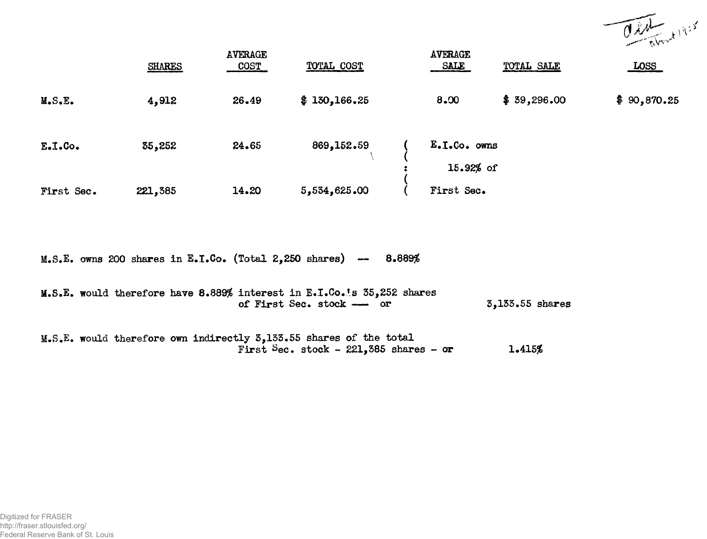

|            | <b>SHARES</b> | AVERAGE<br><b>COST</b> | TOTAL COST   | <b>AVERAGE</b><br><b>SALE</b> | TOTAL SALE  | <b>LOSS</b> |
|------------|---------------|------------------------|--------------|-------------------------------|-------------|-------------|
| M.S.E.     | 4,912         | 26.49                  | \$130,166.25 | 8.00                          | \$39,296.00 | \$90,870.25 |
| $E.1.$ Co. | 35,252        | 24.65                  | 869, 152.59  | $E.D.C.$ owns<br>15.92% of    |             |             |
| First Sec. | 221,385       | 14.20                  | 5,534,625.00 | First Sec.                    |             |             |

M.S.E. owns 200 shares in E.I.Co. (Total 2,250 shares) -- 8.889%

|  | M.S.E. would therefore have 8.889% interest in E.I.Co.'s 35,252 shares |  |  |                           |  |                 |  |
|--|------------------------------------------------------------------------|--|--|---------------------------|--|-----------------|--|
|  |                                                                        |  |  | of First Sec. stock -- or |  | 3,133.55 shares |  |

M.S.E. would therefore own indirectly 3,133\*55 shares of the total First Sec. stock - 221,385 shares - or 1.415%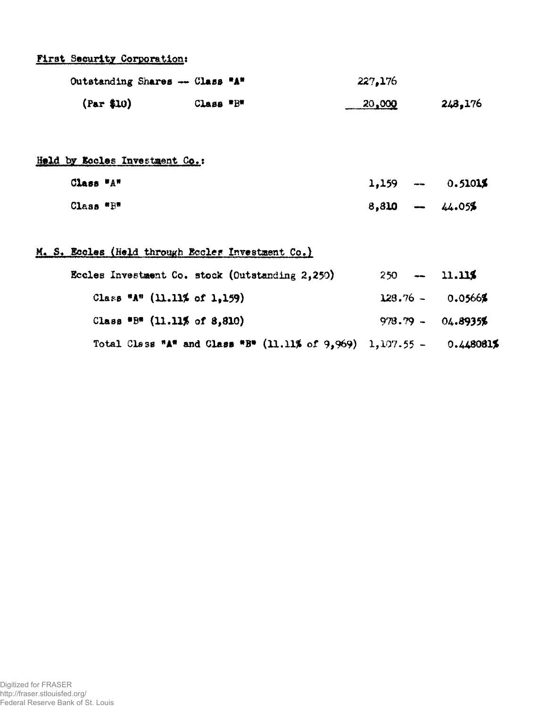## **First Security Corporationt**

| Outstanding Shares --- Class "A" |           | 227,176 |         |
|----------------------------------|-----------|---------|---------|
| (Par \$10)                       | Class "B" | 20,000  | 243,176 |

Held by **Kocles Investment Co.**;

| Class "A" |                 | $1,159 - 0.51015$ |
|-----------|-----------------|-------------------|
| Class "B" | $8,810 - 44.05$ |                   |

## M. S. Eccles (Held through Eccles Investment Co.)

| Eccles Investment Co. stock (Outstanding 2,250)                                  | $250 - 11.115$      |  |
|----------------------------------------------------------------------------------|---------------------|--|
| Class "A" $(11.11\% \text{ of } 1.159)$                                          | $128.76 - 0.0566$   |  |
| Class "B" $(11.11\% \text{ of } 8,810)$                                          | $978.79 - 04.8935%$ |  |
| Total Class "A" and Class "B" $(11.11\% \text{ of } 9,969)$ 1,107.55 - 0.448081% |                     |  |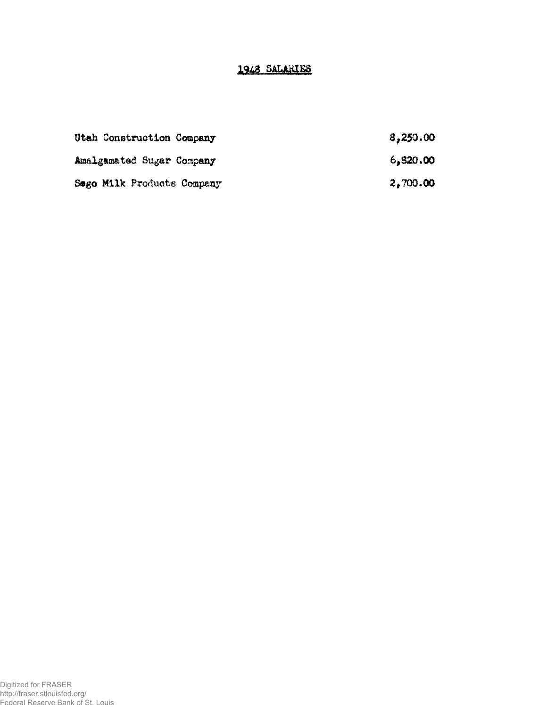## 1948 SALARIES

| Utah Construction Company  | 8,250.00 |
|----------------------------|----------|
| Amalgamated Sugar Company  | 6,820,00 |
| Sego Milk Products Company | 2,700.00 |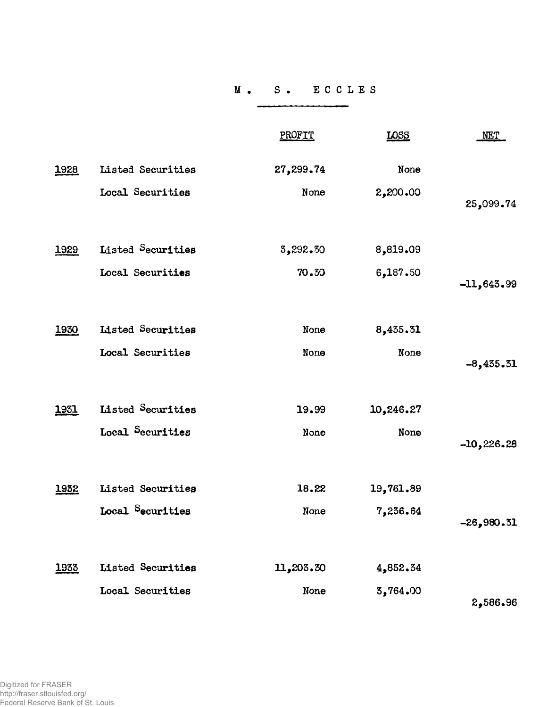## **S . E C C L E S**

|      |                          | PROFIT    | <b>LOSS</b> | <b>NET</b>    |
|------|--------------------------|-----------|-------------|---------------|
| 1928 | Listed Securities        | 27,299.74 | None        |               |
|      | Local Securities         | None      | 2,200.00    | 25,099.74     |
| 1929 | Listed Securities        | 3,292.30  | 8,819.09    |               |
|      | Local Securities         | 70.30     | 6,187.50    | $-11,643.99$  |
| 1930 | <b>Listed Securities</b> | None      | 8,435.31    |               |
|      | Local Securities         | None      | None        | $-8,435.31$   |
| 1931 | Listed Securities        | 19.99     | 10,246.27   |               |
|      | Local Securities         | None      | None        | $-10, 226.28$ |
| 1932 | Listed Securities        | 18.22     | 19,761.89   |               |
|      | Local Securities         | None      | 7,236.64    | $-26,980.31$  |
| 1933 | <b>Listed Securities</b> | 11,203.30 | 4,852.34    |               |
|      | Local Securities         | None      | 3,764.00    | 2,586.96      |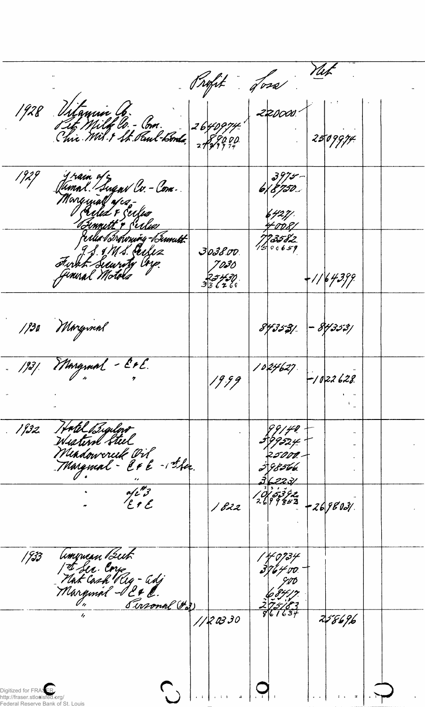Rofit ford Net 1928 Vitamin Co.<br>Pit Milk Co. - Com.<br>Chie Mil 9 St. Paul-bonds  $220000$  $772999$  $2509974$ Jrain of c<br>Jumnl. Sugnv Cv. - Com.<br>Mongmal afca- $6\frac{3975}{50}$ 1929  $6427/$ <u> Emmitt + Serless</u> Ma Browning-Bund  $733582$ 9 S. & MS. Perfez  $3038.00$ sturkt Searity Cryp. 7030  $+$ 1/6 43.99 25430<br>336260 1930 Morgmal - 84353/ 843531 1931. Margraal - Er E.  $1024627$ 19.99  $-1022628$ Hatel Bigilow  $1132$ 99/40 39*95*24 Mindowereik Oil<br>Margmal - Er & - ska. 2*5000*. 3 8 566. 362231  $\frac{a^{\prime}e^{i\theta}}{E}$ **يرم قوتي (ن/**<br>2 - 19 ق 19 مارچ  $-269803/$  $1822$ American But<br>| I Sec. Core<br>| Narginal - 12 & C.<br>| Marginal - 12 & C.  $1933$ | 40734<br>3764 00 Susonal (#3) 258696 1120330  $\binom{1}{k}$ Digitized for FRASER